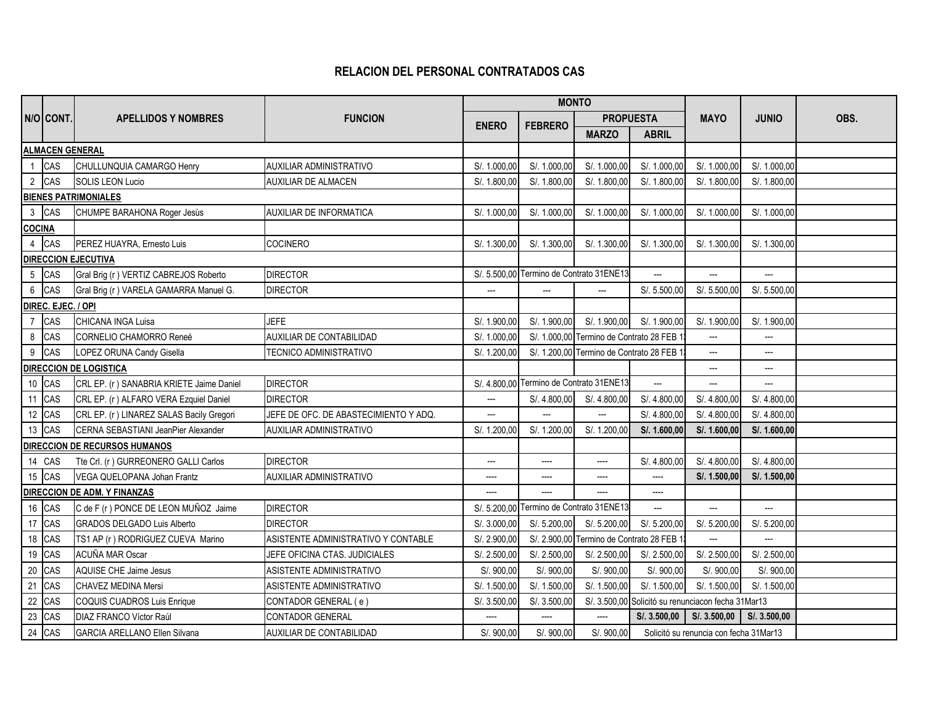## **RELACION DEL PERSONAL CONTRATADOS CAS**

|                               |                    |                                            |                                       |                          | <b>MONTO</b>                             |                                         |                                                    |                                         |                          |      |
|-------------------------------|--------------------|--------------------------------------------|---------------------------------------|--------------------------|------------------------------------------|-----------------------------------------|----------------------------------------------------|-----------------------------------------|--------------------------|------|
|                               | N/O CONT.          | <b>APELLIDOS Y NOMBRES</b>                 | <b>FUNCION</b>                        |                          | <b>FEBRERO</b>                           | <b>PROPUESTA</b>                        |                                                    | <b>MAYO</b>                             | <b>JUNIO</b>             | OBS. |
|                               |                    |                                            |                                       | <b>ENERO</b>             |                                          | <b>MARZO</b>                            | <b>ABRIL</b>                                       |                                         |                          |      |
|                               |                    | <b>ALMACEN GENERAL</b>                     |                                       |                          |                                          |                                         |                                                    |                                         |                          |      |
| $\mathbf{1}$                  | CAS                | CHULLUNQUIA CAMARGO Henry                  | <b>AUXILIAR ADMINISTRATIVO</b>        | S/. 1.000,00             | S/. 1.000,00                             | S/. 1.000,00                            | S/. 1.000,00                                       | S/. 1.000,00                            | S/. 1.000,00             |      |
| $\overline{2}$                | CAS                | SOLIS LEON Lucio                           | AUXILIAR DE ALMACEN                   | S/. 1.800,00             | S/. 1.800,00                             | S/. 1.800,00                            | S/. 1.800,00                                       | S/. 1.800,00                            | S/. 1.800,00             |      |
|                               |                    | <b>BIENES PATRIMONIALES</b>                |                                       |                          |                                          |                                         |                                                    |                                         |                          |      |
| $\mathbf{3}$                  | CAS                | CHUMPE BARAHONA Roger Jesùs                | <b>AUXILIAR DE INFORMATICA</b>        | S/. 1.000,00             | S/. 1.000,00                             | S/. 1.000,00                            | S/. 1.000,00                                       | S/. 1.000,00                            | S/. 1.000,00             |      |
| <b>COCINA</b>                 |                    |                                            |                                       |                          |                                          |                                         |                                                    |                                         |                          |      |
| $\overline{4}$                | CAS                | PEREZ HUAYRA, Ernesto Luis                 | <b>COCINERO</b>                       | S/. 1.300,00             | S/. 1.300,00                             | S/. 1.300,00                            | S/. 1.300,00                                       | S/. 1.300,00                            | S/. 1.300,00             |      |
|                               |                    | <b>DIRECCION EJECUTIVA</b>                 |                                       |                          |                                          |                                         |                                                    |                                         |                          |      |
| 5 CAS                         |                    | Gral Brig (r ) VERTIZ CABREJOS Roberto     | <b>DIRECTOR</b>                       |                          | S/. 5.500,00 Termino de Contrato 31ENE13 |                                         | $\overline{\phantom{a}}$                           | $\overline{\phantom{a}}$                | $\overline{\phantom{a}}$ |      |
| $\,6\,$                       | CAS                | Gral Brig (r ) VARELA GAMARRA Manuel G.    | <b>DIRECTOR</b>                       | ---                      |                                          | ---                                     | S/. 5.500,00                                       | S/. 5.500,00                            | S/. 5.500,00             |      |
|                               | DIREC. EJEC. / OPI |                                            |                                       |                          |                                          |                                         |                                                    |                                         |                          |      |
| $\overline{7}$                | CAS                | CHICANA INGA Luisa                         | <b>JEFE</b>                           | S/. 1.900,00             | S/. 1.900,00                             | S/. 1.900,00                            | S/. 1.900,00                                       | S/. 1.900,00                            | S/. 1.900,00             |      |
| 8                             | CAS                | <b>CORNELIO CHAMORRO Reneé</b>             | AUXILIAR DE CONTABILIDAD              | S/. 1.000.00             |                                          | S/. 1.000,00 Termino de Contrato 28 FEB |                                                    | ---                                     | $\hspace{0.05cm} \ldots$ |      |
| $\boldsymbol{9}$              | CAS                | LOPEZ ORUNA Candy Gisella                  | TECNICO ADMINISTRATIVO                | S/. 1.200,00             |                                          | S/. 1.200,00 Termino de Contrato 28 FEB |                                                    | ---                                     | ---                      |      |
| <b>DIRECCION DE LOGISTICA</b> |                    |                                            |                                       |                          |                                          |                                         | ---                                                | ---                                     |                          |      |
| $10\,$                        | CAS                | CRL EP. (r) SANABRIA KRIETE Jaime Daniel   | <b>DIRECTOR</b>                       | S/. 4.800,00             | Termino de Contrato 31ENE13              |                                         | $\overline{\phantom{0}}$                           | …                                       |                          |      |
| 11 CAS                        |                    | CRL EP. (r) ALFARO VERA Ezquiel Daniel     | <b>DIRECTOR</b>                       | $\overline{\phantom{a}}$ | S/. 4.800,00                             | S/. 4.800,00                            | S/. 4.800,00                                       | S/. 4.800,00                            | S/. 4.800,00             |      |
| 12 CAS                        |                    | CRL EP. (r) LINAREZ SALAS Bacily Gregori   | JEFE DE OFC. DE ABASTECIMIENTO Y ADQ. | ---                      |                                          | $\overline{a}$                          | S/. 4.800,00                                       | S/. 4.800,00                            | S/. 4.800,00             |      |
| 13                            | CAS                | <b>CERNA SEBASTIANI JeanPier Alexander</b> | AUXILIAR ADMINISTRATIVO               | S/. 1.200.00             | S/. 1.200,00                             | S/. 1.200,00                            | S/. 1.600,00                                       | S/. 1.600,00                            | S/. 1.600,00             |      |
|                               |                    | DIRECCION DE RECURSOS HUMANOS              |                                       |                          |                                          |                                         |                                                    |                                         |                          |      |
| 14 CAS                        |                    | Tte Crl. (r) GURREONERO GALLI Carlos       | <b>DIRECTOR</b>                       | ---                      | ----                                     | ----                                    | S/. 4.800,00                                       | S/. 4.800,00                            | S/. 4.800,00             |      |
| 15 CAS                        |                    | VEGA QUELOPANA Johan Frantz                | AUXILIAR ADMINISTRATIVO               | ----                     | ----                                     | ----                                    | ----                                               | S/. 1.500,00                            | S/. 1.500,00             |      |
|                               |                    | <b>DIRECCION DE ADM. Y FINANZAS</b>        |                                       | ----                     | ----                                     | ----                                    | ----                                               |                                         |                          |      |
| 16 CAS                        |                    | C de F (r) PONCE DE LEON MUÑOZ Jaime       | <b>DIRECTOR</b>                       | S/. 5.200,00             | Termino de Contrato 31ENE13              |                                         | ---                                                | ---                                     | ---                      |      |
| 17 CAS                        |                    | <b>GRADOS DELGADO Luis Alberto</b>         | <b>DIRECTOR</b>                       | S/. 3.000,00             | S/. 5.200,00                             | S/. 5.200,00                            | S/. 5.200,00                                       | S/. 5.200,00                            | S/. 5.200,00             |      |
| 18                            | CAS                | TS1 AP (r) RODRIGUEZ CUEVA Marino          | ASISTENTE ADMINISTRATIVO Y CONTABLE   | S/. 2.900,00             |                                          | S/. 2.900,00 Termino de Contrato 28 FEB |                                                    | $\overline{a}$                          |                          |      |
| 19                            | CAS                | <b>ACUÑA MAR Oscar</b>                     | JEFE OFICINA CTAS, JUDICIALES         | S/. 2.500,00             | S/. 2.500,00                             | S/. 2.500,00                            | S/. 2.500,00                                       | S/. 2.500,00                            | S/. 2.500,00             |      |
| 20                            | CAS                | AQUISE CHE Jaime Jesus                     | ASISTENTE ADMINISTRATIVO              | S/. 900,00               | S/. 900,00                               | S/. 900,00                              | S/. 900,00                                         | S/. 900,00                              | S/. 900,00               |      |
| 21                            | CAS                | CHAVEZ MEDINA Mersi                        | ASISTENTE ADMINISTRATIVO              | S/. 1.500,00             | S/. 1.500.00                             | S/. 1.500.00                            | S/. 1.500.00                                       | S/. 1.500,00                            | S/. 1.500.00             |      |
| 22                            | CAS                | COQUIS CUADROS Luis Enrique                | CONTADOR GENERAL (e)                  | S/. 3.500,00             | S/. 3.500,00                             |                                         | S/. 3.500,00 Solicitó su renunciacon fecha 31Mar13 |                                         |                          |      |
| 23                            | CAS                | DIAZ FRANCO Víctor Raúl                    | <b>CONTADOR GENERAL</b>               | ----                     | ----                                     | ----                                    | S/.3.500,00                                        | S/.3.500,00                             | S/.3.500,00              |      |
| 24 CAS                        |                    | <b>GARCIA ARELLANO Ellen Silvana</b>       | AUXILIAR DE CONTABILIDAD              | S/. 900,00               | S/. 900,00                               | S/. 900,00                              |                                                    | Solicitó su renuncia con fecha 31 Mar13 |                          |      |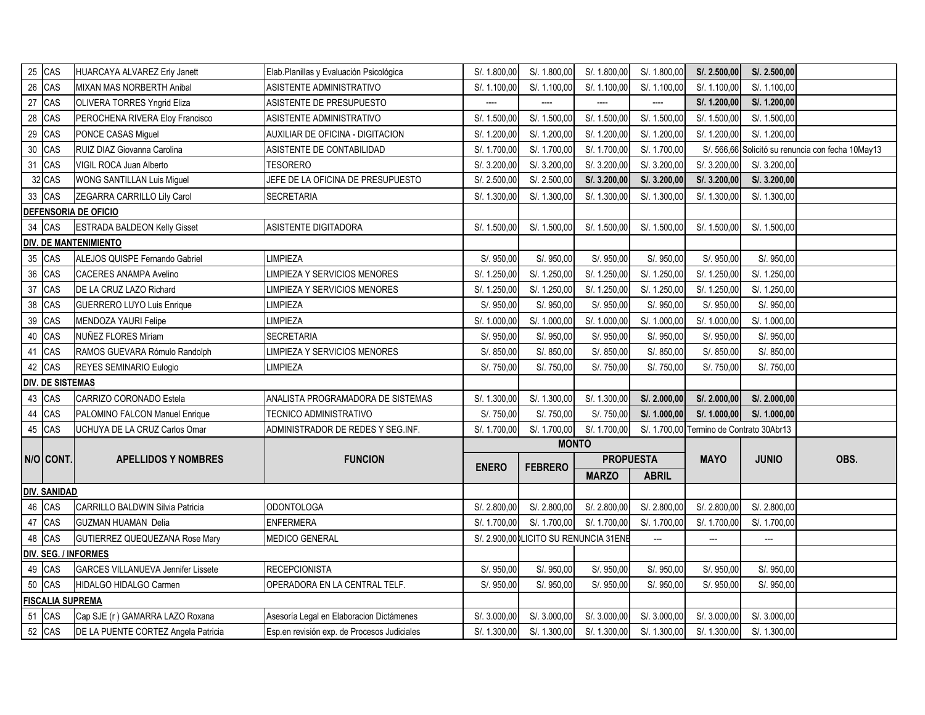|    | 25 CAS                  | HUARCAYA ALVAREZ Erly Janett              | Elab.Planillas y Evaluación Psicológica     | S/. 1.800,00 | S/. 1.800,00                          | S/. 1.800,00     | S/. 1.800,00             | S/. 2.500,00                             | S/. 2.500,00 |                                                   |
|----|-------------------------|-------------------------------------------|---------------------------------------------|--------------|---------------------------------------|------------------|--------------------------|------------------------------------------|--------------|---------------------------------------------------|
|    | 26 CAS                  | MIXAN MAS NORBERTH Anibal                 | ASISTENTE ADMINISTRATIVO                    | S/. 1.100,00 | S/. 1.100,00                          | S/. 1.100,00     | S/. 1.100,00             | S/. 1.100,00                             | S/. 1.100,00 |                                                   |
|    | 27 CAS                  | OLIVERA TORRES Yngrid Eliza               | ASISTENTE DE PRESUPUESTO                    | ----         | ----                                  | ----             | ----                     | S/. 1.200,00                             | S/. 1.200,00 |                                                   |
|    | 28 CAS                  | PEROCHENA RIVERA Eloy Francisco           | ASISTENTE ADMINISTRATIVO                    | S/. 1.500,00 | S/. 1.500,00                          | S/. 1.500,00     | S/. 1.500,00             | S/. 1.500,00                             | S/. 1.500,00 |                                                   |
|    | 29 CAS                  | PONCE CASAS Miguel                        | AUXILIAR DE OFICINA - DIGITACION            | S/. 1.200,00 | S/. 1.200,00                          | S/. 1.200,00     | S/. 1.200,00             | S/. 1.200,00                             | S/. 1.200,00 |                                                   |
|    | 30 CAS                  | RUIZ DIAZ Giovanna Carolina               | ASISTENTE DE CONTABILIDAD                   | S/. 1.700,00 | S/. 1.700,00                          | S/. 1.700,00     | S/. 1.700,00             |                                          |              | S/. 566,66 Solicitó su renuncia con fecha 10May13 |
|    | 31 CAS                  | VIGIL ROCA Juan Alberto                   | TESORERO                                    | S/. 3.200,00 | S/. 3.200,00                          | S/. 3.200,00     | S/. 3.200,00             | S/. 3.200,00                             | S/. 3.200,00 |                                                   |
|    | 32 CAS                  | WONG SANTILLAN Luis Miguel                | JEFE DE LA OFICINA DE PRESUPUESTO           | S/. 2.500,00 | S/. 2.500,00                          | S/. 3.200,00     | S/. 3.200,00             | S/.3.200,00                              | S/. 3.200,00 |                                                   |
|    | 33 CAS                  | ZEGARRA CARRILLO Lily Carol               | SECRETARIA                                  | S/. 1.300,00 | S/. 1.300,00                          | S/. 1.300,00     | S/. 1.300,00             | S/. 1.300,00                             | S/. 1.300,00 |                                                   |
|    |                         | <b>DEFENSORIA DE OFICIO</b>               |                                             |              |                                       |                  |                          |                                          |              |                                                   |
|    | 34 CAS                  | <b>ESTRADA BALDEON Kelly Gisset</b>       | ASISTENTE DIGITADORA                        | S/. 1.500,00 | S/. 1.500,00                          | S/. 1.500,00     | S/. 1.500,00             | S/. 1.500,00                             | S/. 1.500,00 |                                                   |
|    |                         | <b>DIV. DE MANTENIMIENTO</b>              |                                             |              |                                       |                  |                          |                                          |              |                                                   |
|    | 35 CAS                  | ALEJOS QUISPE Fernando Gabriel            | <b>IMPIEZA</b>                              | S/. 950,00   | S/. 950,00                            | S/. 950,00       | S/. 950,00               | S/. 950,00                               | S/. 950,00   |                                                   |
|    | 36 CAS                  | <b>CACERES ANAMPA Avelino</b>             | IMPIEZA Y SERVICIOS MENORES                 | S/. 1.250,00 | S/. 1.250,00                          | S/. 1.250,00     | S/. 1.250,00             | S/. 1.250,00                             | S/. 1.250,00 |                                                   |
|    | 37 CAS                  | DE LA CRUZ LAZO Richard                   | IMPIEZA Y SERVICIOS MENORES                 | S/. 1.250,00 | S/. 1.250,00                          | S/. 1.250,00     | S/. 1.250,00             | S/. 1.250,00                             | S/. 1.250,00 |                                                   |
|    | 38 CAS                  | GUERRERO LUYO Luis Enrique                | <b>IMPIEZA</b>                              | S/. 950,00   | S/. 950,00                            | S/. 950,00       | S/. 950,00               | S/. 950,00                               | S/. 950,00   |                                                   |
|    | 39 CAS                  | MENDOZA YAURI Felipe                      | <b>IMPIEZA</b>                              | S/. 1.000,00 | S/. 1.000,00                          | S/. 1.000,00     | S/. 1.000,00             | S/. 1.000,00                             | S/. 1.000,00 |                                                   |
|    | 40 CAS                  | NUÑEZ FLORES Miriam                       | SECRETARIA                                  | S/. 950,00   | S/. 950,00                            | S/. 950,00       | S/. 950,00               | S/. 950,00                               | S/. 950,00   |                                                   |
|    | 41 CAS                  | RAMOS GUEVARA Rómulo Randolph             | IMPIEZA Y SERVICIOS MENORES                 | S/. 850,00   | S/. 850,00                            | S/. 850,00       | S/. 850,00               | S/. 850,00                               | S/. 850,00   |                                                   |
|    | 42 CAS                  | REYES SEMINARIO Eulogio                   | <b>IMPIEZA</b>                              | S/. 750,00   | S/. 750,00                            | S/. 750,00       | S/. 750,00               | S/. 750,00                               | S/. 750,00   |                                                   |
|    | <b>DIV. DE SISTEMAS</b> |                                           |                                             |              |                                       |                  |                          |                                          |              |                                                   |
|    | 43 CAS                  | CARRIZO CORONADO Estela                   | ANALISTA PROGRAMADORA DE SISTEMAS           | S/. 1.300,00 | S/. 1.300,00                          | S/. 1.300,00     | S/. 2.000,00             | S/. 2.000,00                             | S/. 2.000,00 |                                                   |
| 44 | CAS                     | PALOMINO FALCON Manuel Enrique            | TECNICO ADMINISTRATIVO                      | S/. 750,00   | S/. 750,00                            | S/. 750,00       | S/. 1.000,00             | S/. 1.000,00                             | S/. 1.000,00 |                                                   |
| 45 | CAS                     | UCHUYA DE LA CRUZ Carlos Omar             | ADMINISTRADOR DE REDES Y SEG.INF.           | S/. 1.700,00 | S/. 1.700,00                          | S/. 1.700,00     |                          | S/. 1.700,00 Termino de Contrato 30Abr13 |              |                                                   |
|    |                         |                                           |                                             |              | <b>MONTO</b>                          |                  |                          |                                          |              |                                                   |
|    | N/O CONT.               | <b>APELLIDOS Y NOMBRES</b>                | <b>FUNCION</b>                              | <b>ENERO</b> | <b>FEBRERO</b>                        | <b>PROPUESTA</b> |                          | <b>MAYO</b>                              | <b>JUNIO</b> | OBS.                                              |
|    |                         |                                           |                                             |              |                                       | <b>MARZO</b>     | <b>ABRIL</b>             |                                          |              |                                                   |
|    | <b>DIV. SANIDAD</b>     |                                           |                                             |              |                                       |                  |                          |                                          |              |                                                   |
|    | 46 CAS                  | CARRILLO BALDWIN Silvia Patricia          | <b>ODONTOLOGA</b>                           | S/. 2.800,00 | S/. 2.800,00                          | S/. 2.800,00     | S/. 2.800,00             | S/. 2.800,00                             | S/. 2.800,00 |                                                   |
|    | 47 CAS                  | <b>GUZMAN HUAMAN Delia</b>                | <b>ENFERMERA</b>                            | S/. 1.700,00 | S/. 1.700,00                          | S/. 1.700,00     | S/. 1.700,00             | S/. 1.700,00                             | S/. 1.700,00 |                                                   |
|    | 48 CAS                  | GUTIERREZ QUEQUEZANA Rose Mary            | <b>MEDICO GENERAL</b>                       |              | S/. 2.900,00 LICITO SU RENUNCIA 31ENE |                  | $\hspace{0.05cm} \ldots$ | ---                                      | ---          |                                                   |
|    |                         | <b>DIV. SEG. / INFORMES</b>               |                                             |              |                                       |                  |                          |                                          |              |                                                   |
|    | 49 CAS                  | <b>GARCES VILLANUEVA Jennifer Lissete</b> | <b>RECEPCIONISTA</b>                        | S/. 950,00   | S/. 950,00                            | S/. 950,00       | S/. 950,00               | S/. 950,00                               | S/. 950,00   |                                                   |
|    | 50 CAS                  | HIDALGO HIDALGO Carmen                    | OPERADORA EN LA CENTRAL TELF.               | S/. 950,00   | S/. 950,00                            | S/. 950,00       | S/. 950,00               | S/. 950,00                               | S/. 950,00   |                                                   |
|    | <b>FISCALIA SUPREMA</b> |                                           |                                             |              |                                       |                  |                          |                                          |              |                                                   |
|    | 51 CAS                  | Cap SJE (r) GAMARRA LAZO Roxana           | Asesoría Legal en Elaboracion Dictámenes    | S/. 3.000,00 | S/. 3.000,00                          | S/. 3.000,00     | S/. 3.000,00             | S/. 3.000,00                             | S/. 3.000,00 |                                                   |
|    | 52 CAS                  | DE LA PUENTE CORTEZ Angela Patricia       | Esp.en revisión exp. de Procesos Judiciales | S/. 1.300,00 | S/. 1.300,00                          | S/. 1.300,00     | S/. 1.300,00             | S/. 1.300,00                             | S/. 1.300,00 |                                                   |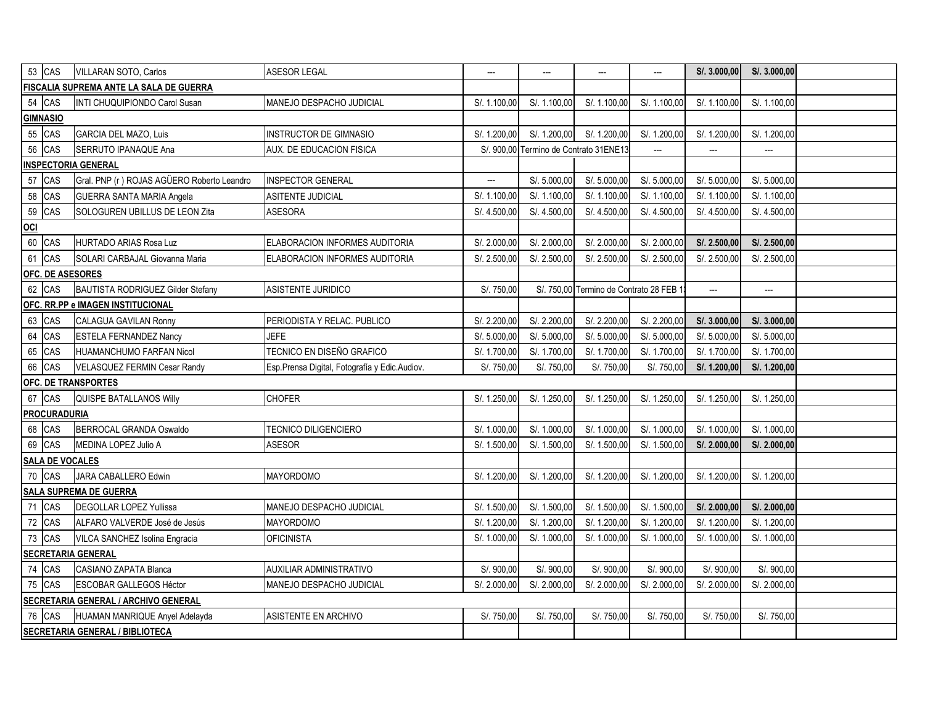|                  | 53 CAS                 | VILLARAN SOTO, Carlos                      | ASESOR LEGAL                                  | ---          | ---                         | ---                                   | ---          | S/. 3.000,00 | S/. 3.000,00             |  |
|------------------|------------------------|--------------------------------------------|-----------------------------------------------|--------------|-----------------------------|---------------------------------------|--------------|--------------|--------------------------|--|
|                  |                        | FISCALIA SUPREMA ANTE LA SALA DE GUERRA    |                                               |              |                             |                                       |              |              |                          |  |
|                  | 54 CAS                 | INTI CHUQUIPIONDO Carol Susan              | MANEJO DESPACHO JUDICIAL                      | S/. 1.100,00 | S/. 1.100,00                | S/. 1.100,00                          | S/. 1.100,00 | S/. 1.100,00 | S/. 1.100,00             |  |
|                  | <b>GIMNASIO</b>        |                                            |                                               |              |                             |                                       |              |              |                          |  |
|                  | 55 CAS                 | GARCIA DEL MAZO, Luis                      | <b>INSTRUCTOR DE GIMNASIO</b>                 | S/. 1.200,00 | S/. 1.200,00                | S/. 1.200,00                          | S/. 1.200,00 | S/. 1.200,00 | S/. 1.200,00             |  |
| 56               | CAS                    | SERRUTO IPANAQUE Ana                       | AUX. DE EDUCACION FISICA                      | S/. 900,00   | Termino de Contrato 31ENE13 |                                       | ---          | ---          | ---                      |  |
|                  |                        | <b>INSPECTORIA GENERAL</b>                 |                                               |              |                             |                                       |              |              |                          |  |
|                  | 57 CAS                 | Gral. PNP (r) ROJAS AGÜERO Roberto Leandro | <b>INSPECTOR GENERAL</b>                      | ---          | S/. 5.000,00                | S/. 5.000,00                          | S/. 5.000,00 | S/. 5.000,00 | S/. 5.000,00             |  |
| 58               | CAS                    | GUERRA SANTA MARIA Angela                  | ASITENTE JUDICIAL                             | S/. 1.100,00 | S/. 1.100,00                | S/. 1.100,00                          | S/. 1.100,00 | S/. 1.100,00 | S/. 1.100,00             |  |
| 59               | CAS                    | SOLOGUREN UBILLUS DE LEON Zita             | ASESORA                                       | S/. 4.500,00 | S/. 4.500,00                | S/. 4.500,00                          | S/. 4.500,00 | S/. 4.500,00 | S/. 4.500,00             |  |
| $\overline{100}$ |                        |                                            |                                               |              |                             |                                       |              |              |                          |  |
| 60               | CAS                    | <b>HURTADO ARIAS Rosa Luz</b>              | ELABORACION INFORMES AUDITORIA                | S/. 2.000,00 | S/. 2.000,00                | S/. 2.000,00                          | S/. 2.000,00 | S/. 2.500,00 | S/. 2.500,00             |  |
| 61               | CAS                    | SOLARI CARBAJAL Giovanna Maria             | ELABORACION INFORMES AUDITORIA                | S/. 2.500,00 | S/. 2.500,00                | S/. 2.500,00                          | S/. 2.500,00 | S/. 2.500,00 | S/. 2.500,00             |  |
|                  |                        | <b>OFC. DE ASESORES</b>                    |                                               |              |                             |                                       |              |              |                          |  |
|                  | 62 CAS                 | BAUTISTA RODRIGUEZ Gilder Stefany          | ASISTENTE JURIDICO                            | S/. 750,00   |                             | S/. 750,00 Termino de Contrato 28 FEB |              | ---          | $\overline{\phantom{a}}$ |  |
|                  |                        | OFC. RR.PP e IMAGEN INSTITUCIONAL          |                                               |              |                             |                                       |              |              |                          |  |
|                  | 63 CAS                 | CALAGUA GAVILAN Ronny                      | PERIODISTA Y RELAC. PUBLICO                   | S/. 2.200,00 | S/. 2.200,00                | S/. 2.200,00                          | S/. 2.200,00 | S/.3.000,00  | S/. 3.000,00             |  |
| 64               | CAS                    | <b>ESTELA FERNANDEZ Nancy</b>              | <b>JEFE</b>                                   | S/. 5.000,00 | S/. 5.000,00                | S/. 5.000,00                          | S/. 5.000,00 | S/. 5.000,00 | S/. 5.000,00             |  |
| 65               | CAS                    | HUAMANCHUMO FARFAN Nicol                   | TECNICO EN DISEÑO GRAFICO                     | S/. 1.700,00 | S/. 1.700,00                | S/. 1.700,00                          | S/. 1.700,00 | S/. 1.700,00 | S/. 1.700,00             |  |
| 66               | CAS                    | VELASQUEZ FERMIN Cesar Randy               | Esp.Prensa Digital, Fotografía y Edic.Audiov. | S/. 750,00   | S/. 750,00                  | S/. 750,00                            | S/. 750,00   | S/. 1.200,00 | S/. 1.200,00             |  |
|                  |                        | <b>OFC. DE TRANSPORTES</b>                 |                                               |              |                             |                                       |              |              |                          |  |
|                  | 67 CAS                 | QUISPE BATALLANOS Willy                    | <b>CHOFER</b>                                 | S/. 1.250,00 | S/. 1.250,00                | S/. 1.250,00                          | S/. 1.250,00 | S/. 1.250,00 | S/. 1.250,00             |  |
|                  | <b>PROCURADURIA</b>    |                                            |                                               |              |                             |                                       |              |              |                          |  |
|                  | 68 CAS                 | BERROCAL GRANDA Oswaldo                    | TECNICO DILIGENCIERO                          | S/. 1.000,00 | S/. 1.000,00                | S/. 1.000,00                          | S/. 1.000,00 | S/. 1.000,00 | S/. 1.000,00             |  |
|                  | 69 CAS                 | MEDINA LOPEZ Julio A                       | <b>ASESOR</b>                                 | S/. 1.500,00 | S/. 1.500,00                | S/. 1.500,00                          | S/. 1.500,00 | S/. 2.000,00 | S/. 2.000,00             |  |
|                  | <b>SALA DE VOCALES</b> |                                            |                                               |              |                             |                                       |              |              |                          |  |
|                  | 70 CAS                 | JARA CABALLERO Edwin                       | MAYORDOMO                                     | S/. 1.200,00 | S/. 1.200,00                | S/. 1.200,00                          | S/. 1.200,00 | S/. 1.200,00 | S/. 1.200,00             |  |
|                  |                        | <b>SALA SUPREMA DE GUERRA</b>              |                                               |              |                             |                                       |              |              |                          |  |
| 71               | CAS                    | <b>DEGOLLAR LOPEZ Yullissa</b>             | MANEJO DESPACHO JUDICIAL                      | S/. 1.500,00 | S/. 1.500,00                | S/. 1.500,00                          | S/. 1.500,00 | S/. 2.000,00 | S/. 2.000,00             |  |
| $72\,$           | CAS                    | ALFARO VALVERDE José de Jesús              | MAYORDOMO                                     | S/. 1.200,00 | S/. 1.200,00                | S/. 1.200,00                          | S/. 1.200,00 | S/. 1.200,00 | S/. 1.200,00             |  |
| 73               | CAS                    | VILCA SANCHEZ Isolina Engracia             | <b>OFICINISTA</b>                             | S/. 1.000,00 | S/. 1.000,00                | S/. 1.000,00                          | S/. 1.000,00 | S/. 1.000,00 | S/. 1.000,00             |  |
|                  |                        | <b>SECRETARIA GENERAL</b>                  |                                               |              |                             |                                       |              |              |                          |  |
|                  | 74 CAS                 | CASIANO ZAPATA Blanca                      | AUXILIAR ADMINISTRATIVO                       | S/. 900,00   | S/. 900,00                  | S/. 900,00                            | S/. 900,00   | S/. 900,00   | S/. 900,00               |  |
|                  | 75 CAS                 | ESCOBAR GALLEGOS Héctor                    | MANEJO DESPACHO JUDICIAL                      | S/. 2.000,00 | S/. 2.000,00                | S/. 2.000,00                          | S/. 2.000,00 | S/. 2.000,00 | S/. 2.000,00             |  |
|                  |                        | SECRETARIA GENERAL / ARCHIVO GENERAL       |                                               |              |                             |                                       |              |              |                          |  |
|                  | 76 CAS                 | HUAMAN MANRIQUE Anyel Adelayda             | ASISTENTE EN ARCHIVO                          | S/. 750,00   | S/. 750,00                  | S/. 750,00                            | S/. 750,00   | S/. 750,00   | S/. 750,00               |  |
|                  |                        | <b>SECRETARIA GENERAL / BIBLIOTECA</b>     |                                               |              |                             |                                       |              |              |                          |  |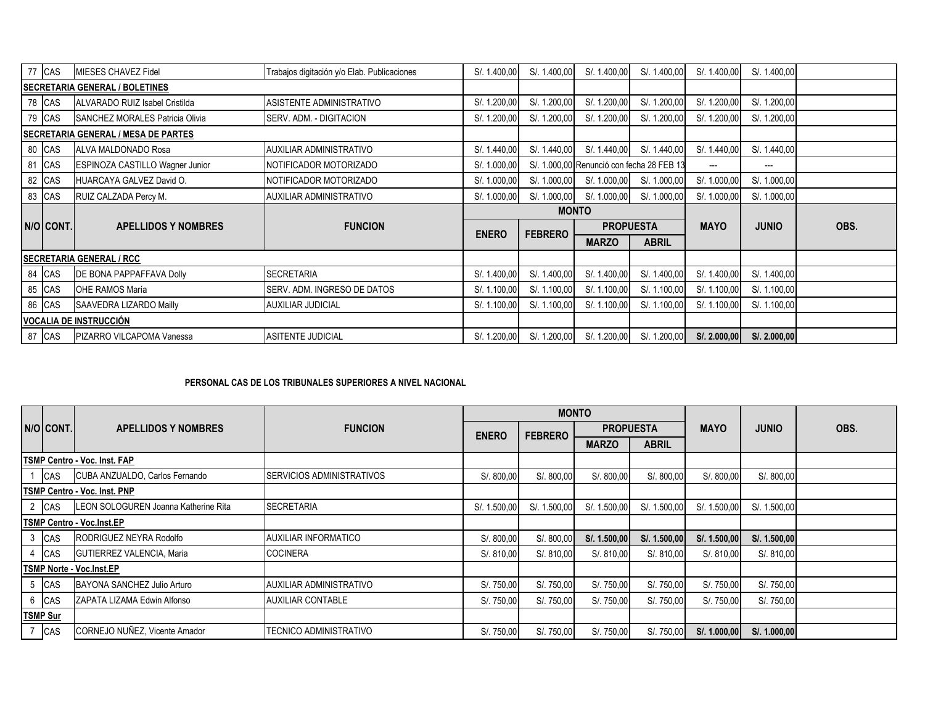|                                       | 77 CAS    | MIESES CHAVEZ Fidel                        | Trabajos digitación y/o Elab. Publicaciones | S/. 1.400,00 | S/. 1.400,00   | S/. 1.400,00                              | S/. 1.400,00     | S/. 1.400,00 | S/. 1.400,00 |      |
|---------------------------------------|-----------|--------------------------------------------|---------------------------------------------|--------------|----------------|-------------------------------------------|------------------|--------------|--------------|------|
| <b>SECRETARIA GENERAL / BOLETINES</b> |           |                                            |                                             |              |                |                                           |                  |              |              |      |
|                                       | 78 CAS    | ALVARADO RUIZ Isabel Cristilda             | ASISTENTE ADMINISTRATIVO                    | S/. 1.200,00 | S/. 1.200,00   | S/. 1.200,00                              | S/. 1.200,00     | S/. 1.200,00 | S/. 1.200,00 |      |
|                                       | 79 CAS    | SANCHEZ MORALES Patricia Olivia            | SERV. ADM. - DIGITACION                     | S/. 1.200,00 | S/. 1.200,00   | S/. 1.200,00                              | S/. 1.200,00     | S/. 1.200,00 | S/. 1.200,00 |      |
|                                       |           | <b>SECRETARIA GENERAL / MESA DE PARTES</b> |                                             |              |                |                                           |                  |              |              |      |
|                                       | 80 CAS    | ALVA MALDONADO Rosa                        | AUXILIAR ADMINISTRATIVO                     | S/. 1.440,00 | S/. 1.440,00   | S/. 1.440,00                              | S/. 1.440,00     | S/. 1.440,00 | S/. 1.440,00 |      |
|                                       | 81 CAS    | ESPINOZA CASTILLO Wagner Junior            | NOTIFICADOR MOTORIZADO                      | S/. 1.000,00 |                | S/. 1.000,00 Renunció con fecha 28 FEB 13 |                  | ---          | ---          |      |
|                                       | 82 CAS    | HUARCAYA GALVEZ David O.                   | NOTIFICADOR MOTORIZADO                      | S/. 1.000,00 | S/. 1.000,00   | S/. 1.000,00                              | S/. 1.000,00     | S/. 1.000,00 | S/. 1.000,00 |      |
|                                       | 83 CAS    | RUIZ CALZADA Percy M.                      | AUXILIAR ADMINISTRATIVO                     | S/. 1.000,00 | S/. 1.000,00   | S/. 1.000,00                              | S/. 1.000,00     | S/. 1.000,00 | S/. 1.000,00 |      |
|                                       |           |                                            |                                             |              |                | <b>MONTO</b>                              |                  |              |              |      |
|                                       | N/O CONT. | <b>APELLIDOS Y NOMBRES</b>                 | <b>FUNCION</b>                              | <b>ENERO</b> | <b>FEBRERO</b> |                                           | <b>PROPUESTA</b> |              | <b>JUNIO</b> | OBS. |
|                                       |           |                                            |                                             |              |                | <b>MARZO</b>                              | <b>ABRIL</b>     |              |              |      |
|                                       |           | <b>SECRETARIA GENERAL / RCC</b>            |                                             |              |                |                                           |                  |              |              |      |
|                                       | 84 CAS    | <b>DE BONA PAPPAFFAVA Dolly</b>            | <b>SECRETARIA</b>                           | S/. 1.400,00 | S/. 1.400,00   | S/. 1.400,00                              | S/. 1.400,00     | S/. 1.400,00 | S/. 1.400,00 |      |
|                                       | 85 CAS    | OHE RAMOS María                            | SERV. ADM. INGRESO DE DATOS                 | S/. 1.100,00 | S/. 1.100,00   | S/. 1.100,00                              | S/. 1.100,00     | S/. 1.100,00 | S/. 1.100,00 |      |
|                                       |           |                                            |                                             |              |                | S/. 1.100,00                              | S/. 1.100,00     | S/. 1.100,00 | S/. 1.100,00 |      |
|                                       | 86 CAS    | SAAVEDRA LIZARDO Mailly                    | <b>AUXILIAR JUDICIAL</b>                    | S/. 1.100,00 | S/. 1.100,00   |                                           |                  |              |              |      |
|                                       |           | <b>VOCALIA DE INSTRUCCIÓN</b>              |                                             |              |                |                                           |                  |              |              |      |

## **PERSONAL CAS DE LOS TRIBUNALES SUPERIORES A NIVEL NACIONAL**

|                                     |                 |                                      |                                  |              | <b>MONTO</b>   |                  |              |              |              |      |
|-------------------------------------|-----------------|--------------------------------------|----------------------------------|--------------|----------------|------------------|--------------|--------------|--------------|------|
|                                     | N/O CONT.       | <b>APELLIDOS Y NOMBRES</b>           | <b>FUNCION</b>                   | <b>ENERO</b> | <b>FEBRERO</b> | <b>PROPUESTA</b> |              | <b>MAYO</b>  | <b>JUNIO</b> | OBS. |
|                                     |                 |                                      |                                  |              |                | <b>MARZO</b>     | <b>ABRIL</b> |              |              |      |
|                                     |                 | <b>TSMP Centro - Voc. Inst. FAP</b>  |                                  |              |                |                  |              |              |              |      |
|                                     | <b>CAS</b>      | CUBA ANZUALDO, Carlos Fernando       | <b>SERVICIOS ADMINISTRATIVOS</b> | S/. 800,00   | S/.800,00      | S/. 800,00       | S/.800,00    | S/. 800,00   | S/. 800,00   |      |
| <b>TSMP Centro - Voc. Inst. PNP</b> |                 |                                      |                                  |              |                |                  |              |              |              |      |
|                                     | 2 CAS           | LEON SOLOGUREN Joanna Katherine Rita | <b>SECRETARIA</b>                | S/. 1.500,00 | S/. 1.500,00   | S/. 1.500,00     | S/. 1.500,00 | S/. 1.500,00 | S/. 1.500,00 |      |
|                                     |                 | <b>TSMP Centro - Voc.Inst.EP</b>     |                                  |              |                |                  |              |              |              |      |
|                                     | 3 CAS           | RODRIGUEZ NEYRA Rodolfo              | <b>AUXILIAR INFORMATICO</b>      | S/.800,00    | S/.800,00      | S/. 1.500,00     | S/. 1.500,00 | S/. 1.500,00 | S/. 1.500,00 |      |
|                                     | CAS             | GUTIERREZ VALENCIA, Maria            | <b>COCINERA</b>                  | S/. 810,00   | S/. 810,00     | S/. 810,00       | S/. 810,00   | S/. 810,00   | S/. 810,00   |      |
|                                     |                 | <b>TSMP Norte - Voc.Inst.EP</b>      |                                  |              |                |                  |              |              |              |      |
|                                     | <b>CAS</b>      | BAYONA SANCHEZ Julio Arturo          | AUXILIAR ADMINISTRATIVO          | S/. 750,00   | S/. 750,00     | S/. 750,00       | S/. 750,00   | S/. 750,00   | S/. 750,00   |      |
|                                     | 6 CAS           | ZAPATA LIZAMA Edwin Alfonso          | <b>AUXILIAR CONTABLE</b>         | S/. 750,00   | S/. 750,00     | S/. 750,00       | S/. 750,00   | S/. 750,00   | S/. 750,00   |      |
|                                     | <b>TSMP Sur</b> |                                      |                                  |              |                |                  |              |              |              |      |
| $\overline{7}$                      | <b>CAS</b>      | CORNEJO NUÑEZ, Vicente Amador        | <b>TECNICO ADMINISTRATIVO</b>    | S/. 750,00   | S/. 750,00     | S/. 750,00       | S/. 750,00   | S/. 1.000,00 | S/. 1.000,00 |      |